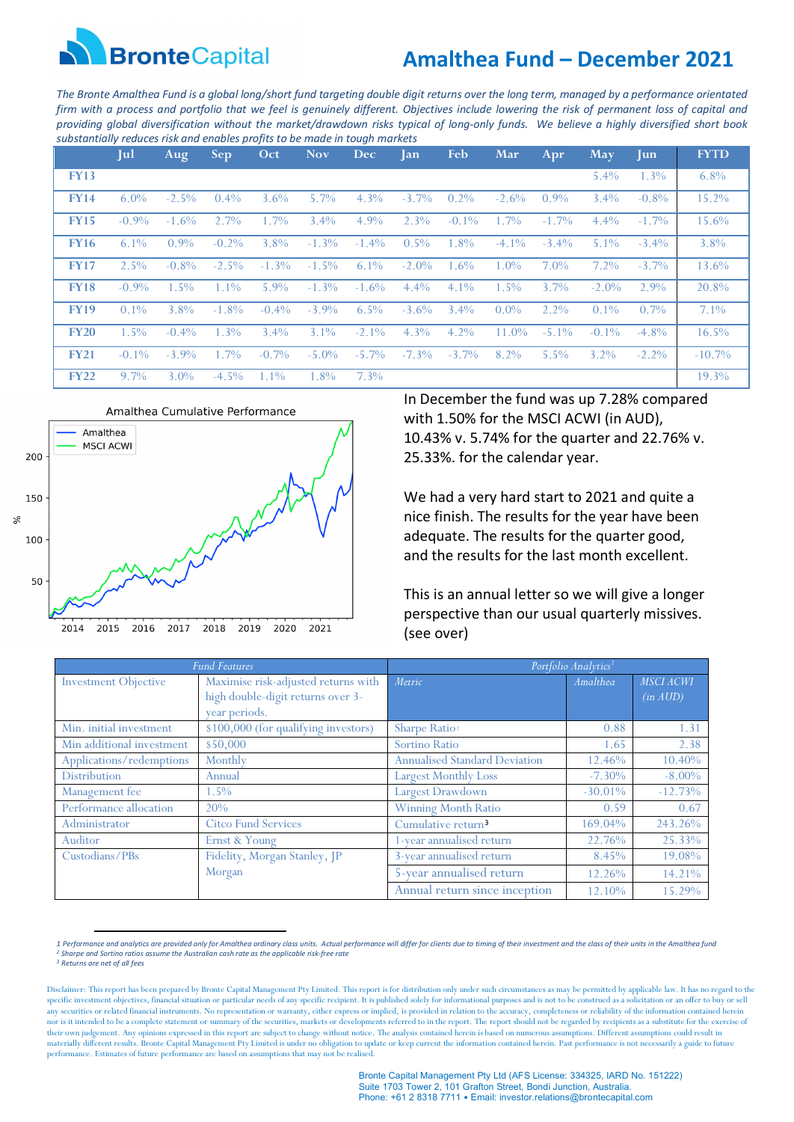

# **Amalthea Fund – December 2021**

*The Bronte Amalthea Fund is a global long/short fund targeting double digit returns over the long term, managed by a performance orientated firm with a process and portfolio that we feel is genuinely different. Objectives include lowering the risk of permanent loss of capital and providing global diversification without the market/drawdown risks typical of long-only funds. We believe a highly diversified short book substantially reduces risk and enables profits to be made in tough markets*

|             | Jul      | Aug      | Sep.     | Oct      | <b>Nov</b> | <b>Dec</b> | <b>Jan</b> | <b>Feb</b> | Mar      | Apr      | May      | $\mathbf{u}$ | <b>FYTD</b> |
|-------------|----------|----------|----------|----------|------------|------------|------------|------------|----------|----------|----------|--------------|-------------|
| <b>FY13</b> |          |          |          |          |            |            |            |            |          |          | $5.4\%$  | 1.3%         | $6.8\%$     |
| <b>FY14</b> | $6.0\%$  | $-2.5\%$ | $0.4\%$  | $3.6\%$  | $5.7\%$    | $4.3\%$    | $-3.7\%$   | $0.2\%$    | $-2.6\%$ | $0.9\%$  | $3.4\%$  | $-0.8\%$     | 15.2%       |
| <b>FY15</b> | $-0.9\%$ | $-1.6\%$ | 2.7%     | $1.7\%$  | $3.4\%$    | $4.9\%$    | $2.3\%$    | $-0.1\%$   | $1.7\%$  | $-1.7\%$ | $4.4\%$  | $-1.7\%$     | 15.6%       |
| <b>FY16</b> | $6.1\%$  | $0.9\%$  | $-0.2\%$ | $3.8\%$  | $-1.3\%$   | $-1.4\%$   | $0.5\%$    | 1.8%       | $-4.1\%$ | $-3.4\%$ | $5.1\%$  | $-3.4\%$     | 3.8%        |
| <b>FY17</b> | $2.5\%$  | $-0.8\%$ | $-2.5\%$ | $-1.3\%$ | $-1.5\%$   | $6.1\%$    | $-2.0\%$   | 1.6%       | $1.0\%$  | 7.0%     | $7.2\%$  | $-3.7\%$     | 13.6%       |
| <b>FY18</b> | $-0.9\%$ | $1.5\%$  | $1.1\%$  | $5.9\%$  | $-1.3\%$   | $-1.6\%$   | $4.4\%$    | $4.1\%$    | $1.5\%$  | $3.7\%$  | $-2.0\%$ | 2.9%         | 20.8%       |
| <b>FY19</b> | $0.1\%$  | 3.8%     | $-1.8\%$ | $-0.4\%$ | $-3.9\%$   | $6.5\%$    | $-3.6\%$   | $3.4\%$    | $0.0\%$  | 2.2%     | $0.1\%$  | $0.7\%$      | 7.1%        |
| <b>FY20</b> | $1.5\%$  | $-0.4\%$ | $1.3\%$  | $3.4\%$  | $3.1\%$    | $-2.1\%$   | $4.3\%$    | $4.2\%$    | $11.0\%$ | $-5.1\%$ | $-0.1\%$ | $-4.8\%$     | $16.5\%$    |
| <b>FY21</b> | $-0.1\%$ | $-3.9\%$ | 1.7%     | $-0.7\%$ | $-5.0\%$   | $-5.7\%$   | $-7.3\%$   | $-3.7\%$   | 8.2%     | $5.5\%$  | $3.2\%$  | $-2.2\%$     | $-10.7\%$   |
| <b>FY22</b> | $9.7\%$  | $3.0\%$  | $-4.5\%$ | $1.1\%$  | 1.8%       | $7.3\%$    |            |            |          |          |          |              | 19.3%       |



In December the fund was up 7.28% compared with 1.50% for the MSCI ACWI (in AUD), 10.43% v. 5.74% for the quarter and 22.76% v. 25.33%. for the calendar year.

We had a very hard start to 2021 and quite a nice finish. The results for the year have been adequate. The results for the quarter good, and the results for the last month excellent.

This is an annual letter so we will give a longer perspective than our usual quarterly missives. (see over)

|                             | <b>Fund Features</b>                                                                      | Portfolio Analytics <sup>1</sup>     |            |                              |  |
|-----------------------------|-------------------------------------------------------------------------------------------|--------------------------------------|------------|------------------------------|--|
| <b>Investment Objective</b> | Maximise risk-adjusted returns with<br>high double-digit returns over 3-<br>year periods. | Metric                               | Amalthea   | <b>MSCI ACWI</b><br>(in AUD) |  |
| Min. initial investment     | \$100,000 (for qualifying investors)                                                      | Sharpe Ratio <sup>2</sup>            | 0.88       | 1.31                         |  |
| Min additional investment   | \$50,000                                                                                  | Sortino Ratio                        | 1.65       | 2.38                         |  |
| Applications/redemptions    | Monthly                                                                                   | <b>Annualised Standard Deviation</b> | 12.46%     | 10.40%                       |  |
| <b>Distribution</b>         | Annual                                                                                    | <b>Largest Monthly Loss</b>          | $-7.30\%$  | $-8.00\%$                    |  |
| Management fee              | 1.5%                                                                                      | Largest Drawdown                     | $-30.01\%$ | $-12.73%$                    |  |
| Performance allocation      | 20%                                                                                       | <b>Winning Month Ratio</b>           | 0.59       | 0.67                         |  |
| Administrator               | <b>Citco Fund Services</b>                                                                | Cumulative return <sup>3</sup>       | 169.04%    | 243.26%                      |  |
| Auditor                     | Ernst & Young                                                                             | 1-year annualised return             | 22.76%     | 25.33%                       |  |
| Custodians/PBs              | Fidelity, Morgan Stanley, JP                                                              | 3-year annualised return             | 8.45%      | 19.08%                       |  |
|                             | Morgan                                                                                    | 5-year annualised return             | 12.26%     | 14.21%                       |  |
|                             |                                                                                           | Annual return since inception        | 12.10%     | 15.29%                       |  |

<span id="page-0-1"></span><span id="page-0-0"></span><sup>1</sup> Performance and analytics are provided only for Amalthea ordinary class units. Actual performance will differ for clients due to timing of their investment and the class of their units in the Amalthea funa<br>? Sharpe and S

<span id="page-0-2"></span>Disclaimer: This report has been prepared by Bronte Capital Management Pty Limited. This report is for distribution only under such circumstances as may be permitted by applicable law. It has no regard to the specific investment objectives, financial situation or particular needs of any specific recipient. It is published solely for informational purposes and is not to be construed as a solicitation or an offer to buy or sell any securities or related financial instruments. No representation or warranty, either express or implied, is provided in relation to the accuracy, completeness or reliability of the information contained herein<br>nor is it their own judgement. Any opinions expressed in this report are subject to change without notice. The analysis contained herein is based on numerous assumptions. Different assumptions could result in materially different results. Bronte Capital Management Pty Limited is under no obligation to update or keep current the information contained herein. Past performance is not necessarily a guide to future performance. Estimates of future performance are based on assumptions that may not be realised.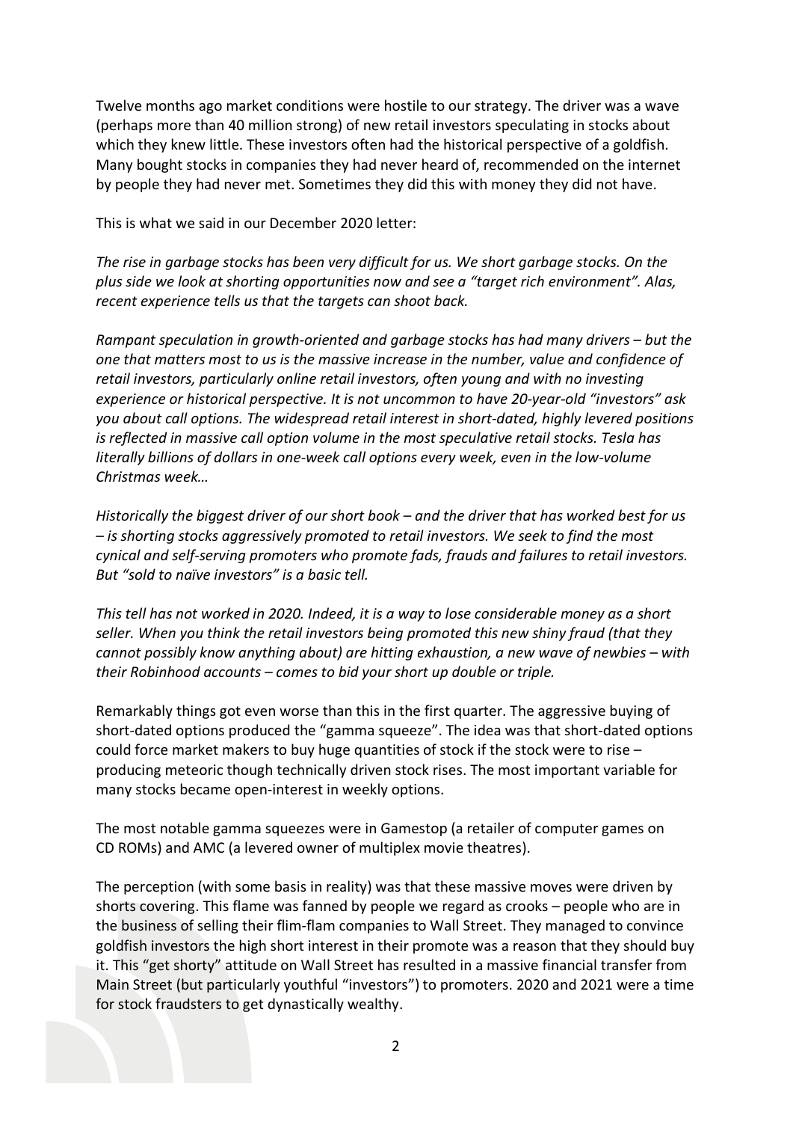Twelve months ago market conditions were hostile to our strategy. The driver was a wave (perhaps more than 40 million strong) of new retail investors speculating in stocks about which they knew little. These investors often had the historical perspective of a goldfish. Many bought stocks in companies they had never heard of, recommended on the internet by people they had never met. Sometimes they did this with money they did not have.

This is what we said in our December 2020 letter:

*The rise in garbage stocks has been very difficult for us. We short garbage stocks. On the plus side we look at shorting opportunities now and see a "target rich environment". Alas, recent experience tells us that the targets can shoot back.* 

*Rampant speculation in growth-oriented and garbage stocks has had many drivers – but the one that matters most to us is the massive increase in the number, value and confidence of retail investors, particularly online retail investors, often young and with no investing experience or historical perspective. It is not uncommon to have 20-year-old "investors" ask you about call options. The widespread retail interest in short-dated, highly levered positions is reflected in massive call option volume in the most speculative retail stocks. Tesla has literally billions of dollars in one-week call options every week, even in the low-volume Christmas week…*

*Historically the biggest driver of our short book – and the driver that has worked best for us – is shorting stocks aggressively promoted to retail investors. We seek to find the most cynical and self-serving promoters who promote fads, frauds and failures to retail investors. But "sold to naïve investors" is a basic tell.* 

*This tell has not worked in 2020. Indeed, it is a way to lose considerable money as a short seller. When you think the retail investors being promoted this new shiny fraud (that they cannot possibly know anything about) are hitting exhaustion, a new wave of newbies – with their Robinhood accounts – comes to bid your short up double or triple.*

Remarkably things got even worse than this in the first quarter. The aggressive buying of short-dated options produced the "gamma squeeze". The idea was that short-dated options could force market makers to buy huge quantities of stock if the stock were to rise – producing meteoric though technically driven stock rises. The most important variable for many stocks became open-interest in weekly options.

The most notable gamma squeezes were in Gamestop (a retailer of computer games on CD ROMs) and AMC (a levered owner of multiplex movie theatres).

The perception (with some basis in reality) was that these massive moves were driven by shorts covering. This flame was fanned by people we regard as crooks – people who are in the business of selling their flim-flam companies to Wall Street. They managed to convince goldfish investors the high short interest in their promote was a reason that they should buy it. This "get shorty" attitude on Wall Street has resulted in a massive financial transfer from Main Street (but particularly youthful "investors") to promoters. 2020 and 2021 were a time for stock fraudsters to get dynastically wealthy.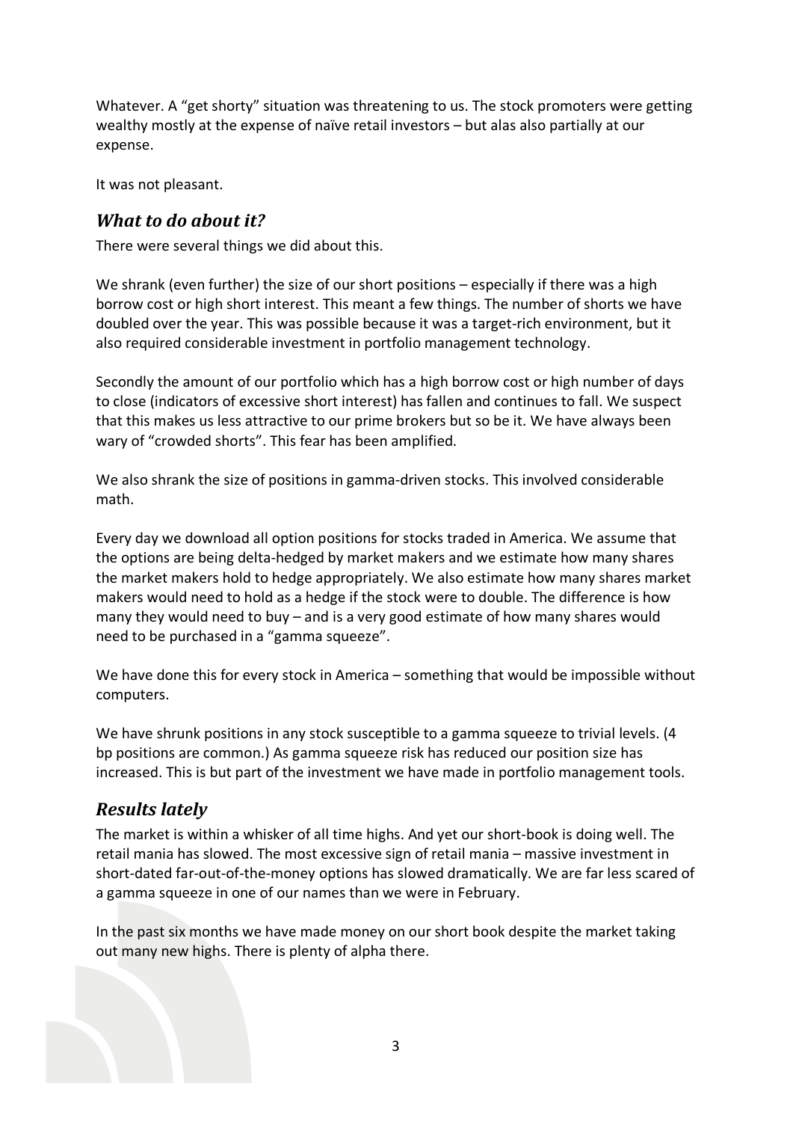Whatever. A "get shorty" situation was threatening to us. The stock promoters were getting wealthy mostly at the expense of naïve retail investors – but alas also partially at our expense.

It was not pleasant.

#### *What to do about it?*

There were several things we did about this.

We shrank (even further) the size of our short positions – especially if there was a high borrow cost or high short interest. This meant a few things. The number of shorts we have doubled over the year. This was possible because it was a target-rich environment, but it also required considerable investment in portfolio management technology.

Secondly the amount of our portfolio which has a high borrow cost or high number of days to close (indicators of excessive short interest) has fallen and continues to fall. We suspect that this makes us less attractive to our prime brokers but so be it. We have always been wary of "crowded shorts". This fear has been amplified.

We also shrank the size of positions in gamma-driven stocks. This involved considerable math.

Every day we download all option positions for stocks traded in America. We assume that the options are being delta-hedged by market makers and we estimate how many shares the market makers hold to hedge appropriately. We also estimate how many shares market makers would need to hold as a hedge if the stock were to double. The difference is how many they would need to buy – and is a very good estimate of how many shares would need to be purchased in a "gamma squeeze".

We have done this for every stock in America – something that would be impossible without computers.

We have shrunk positions in any stock susceptible to a gamma squeeze to trivial levels. (4 bp positions are common.) As gamma squeeze risk has reduced our position size has increased. This is but part of the investment we have made in portfolio management tools.

### *Results lately*

The market is within a whisker of all time highs. And yet our short-book is doing well. The retail mania has slowed. The most excessive sign of retail mania – massive investment in short-dated far-out-of-the-money options has slowed dramatically. We are far less scared of a gamma squeeze in one of our names than we were in February.

In the past six months we have made money on our short book despite the market taking out many new highs. There is plenty of alpha there.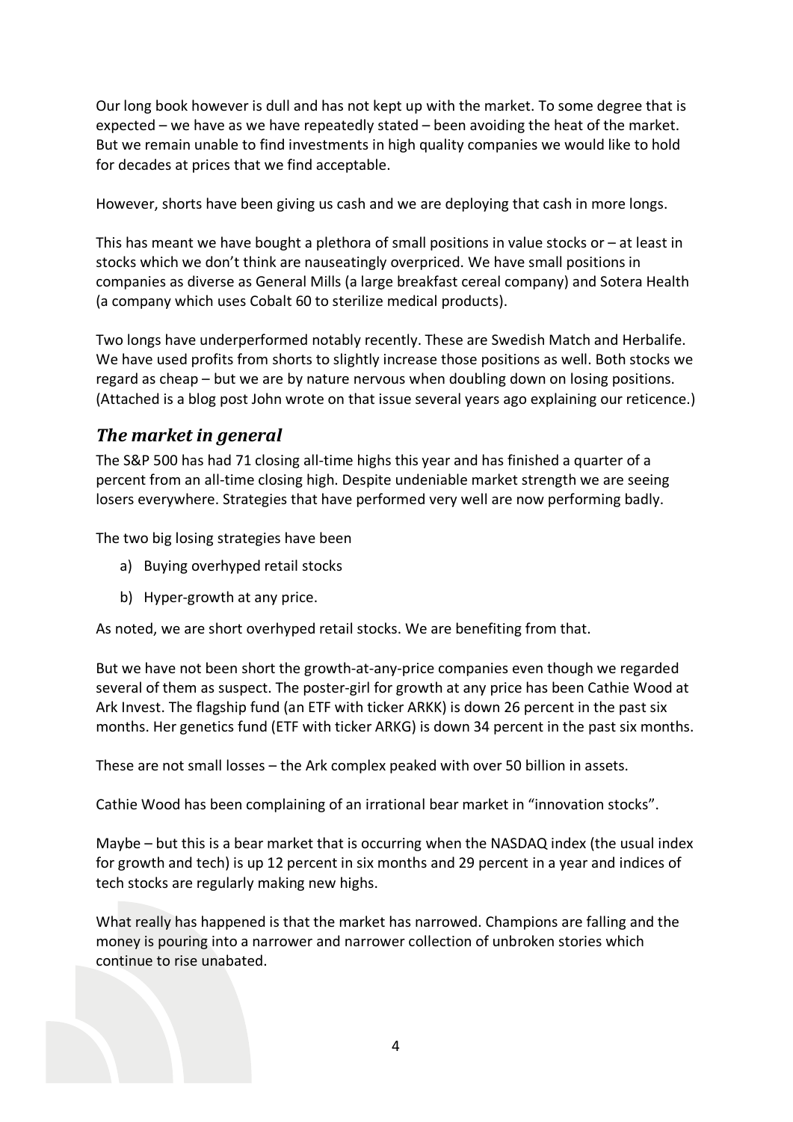Our long book however is dull and has not kept up with the market. To some degree that is expected – we have as we have repeatedly stated – been avoiding the heat of the market. But we remain unable to find investments in high quality companies we would like to hold for decades at prices that we find acceptable.

However, shorts have been giving us cash and we are deploying that cash in more longs.

This has meant we have bought a plethora of small positions in value stocks or  $-$  at least in stocks which we don't think are nauseatingly overpriced. We have small positions in companies as diverse as General Mills (a large breakfast cereal company) and Sotera Health (a company which uses Cobalt 60 to sterilize medical products).

Two longs have underperformed notably recently. These are Swedish Match and Herbalife. We have used profits from shorts to slightly increase those positions as well. Both stocks we regard as cheap – but we are by nature nervous when doubling down on losing positions. (Attached is a blog post John wrote on that issue several years ago explaining our reticence.)

### *The market in general*

The S&P 500 has had 71 closing all-time highs this year and has finished a quarter of a percent from an all-time closing high. Despite undeniable market strength we are seeing losers everywhere. Strategies that have performed very well are now performing badly.

The two big losing strategies have been

- a) Buying overhyped retail stocks
- b) Hyper-growth at any price.

As noted, we are short overhyped retail stocks. We are benefiting from that.

But we have not been short the growth-at-any-price companies even though we regarded several of them as suspect. The poster-girl for growth at any price has been Cathie Wood at Ark Invest. The flagship fund (an ETF with ticker ARKK) is down 26 percent in the past six months. Her genetics fund (ETF with ticker ARKG) is down 34 percent in the past six months.

These are not small losses – the Ark complex peaked with over 50 billion in assets.

Cathie Wood has been complaining of an irrational bear market in "innovation stocks".

Maybe – but this is a bear market that is occurring when the NASDAQ index (the usual index for growth and tech) is up 12 percent in six months and 29 percent in a year and indices of tech stocks are regularly making new highs.

What really has happened is that the market has narrowed. Champions are falling and the money is pouring into a narrower and narrower collection of unbroken stories which continue to rise unabated.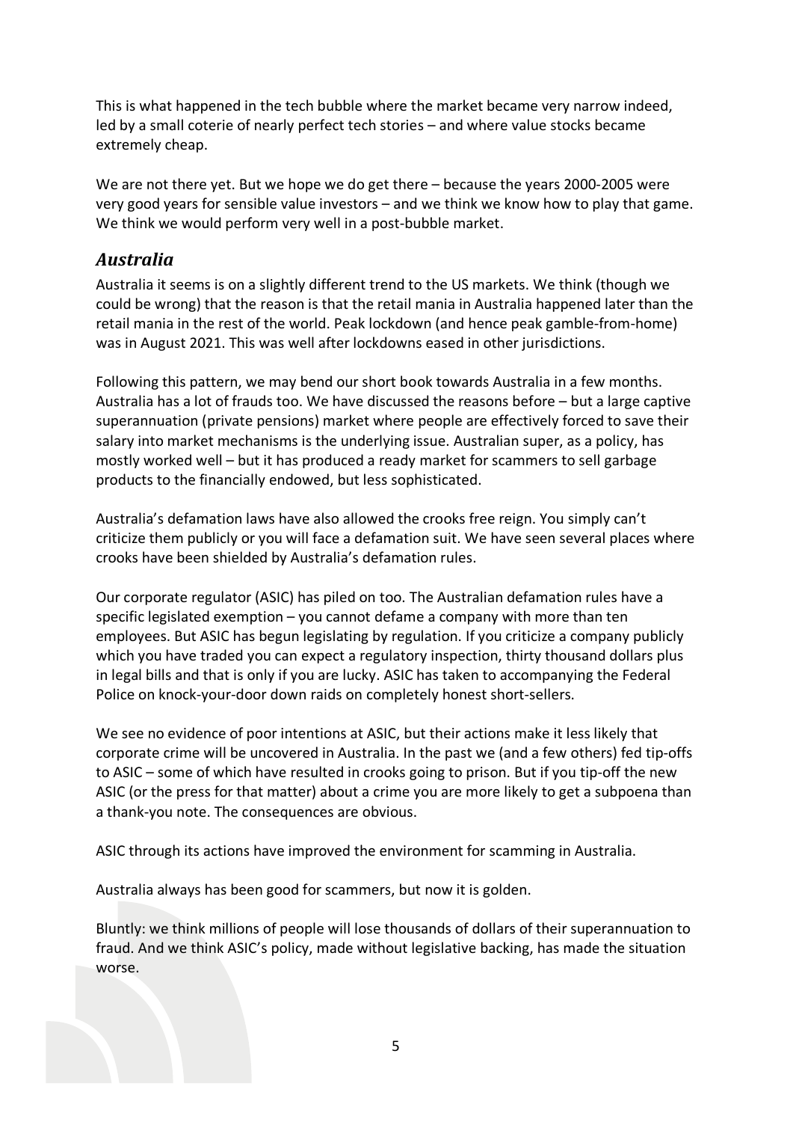This is what happened in the tech bubble where the market became very narrow indeed, led by a small coterie of nearly perfect tech stories – and where value stocks became extremely cheap.

We are not there yet. But we hope we do get there – because the years 2000-2005 were very good years for sensible value investors – and we think we know how to play that game. We think we would perform very well in a post-bubble market.

### *Australia*

Australia it seems is on a slightly different trend to the US markets. We think (though we could be wrong) that the reason is that the retail mania in Australia happened later than the retail mania in the rest of the world. Peak lockdown (and hence peak gamble-from-home) was in August 2021. This was well after lockdowns eased in other jurisdictions.

Following this pattern, we may bend our short book towards Australia in a few months. Australia has a lot of frauds too. We have discussed the reasons before – but a large captive superannuation (private pensions) market where people are effectively forced to save their salary into market mechanisms is the underlying issue. Australian super, as a policy, has mostly worked well – but it has produced a ready market for scammers to sell garbage products to the financially endowed, but less sophisticated.

Australia's defamation laws have also allowed the crooks free reign. You simply can't criticize them publicly or you will face a defamation suit. We have seen several places where crooks have been shielded by Australia's defamation rules.

Our corporate regulator (ASIC) has piled on too. The Australian defamation rules have a specific legislated exemption – you cannot defame a company with more than ten employees. But ASIC has begun legislating by regulation. If you criticize a company publicly which you have traded you can expect a regulatory inspection, thirty thousand dollars plus in legal bills and that is only if you are lucky. ASIC has taken to accompanying the Federal Police on knock-your-door down raids on completely honest short-sellers.

We see no evidence of poor intentions at ASIC, but their actions make it less likely that corporate crime will be uncovered in Australia. In the past we (and a few others) fed tip-offs to ASIC – some of which have resulted in crooks going to prison. But if you tip-off the new ASIC (or the press for that matter) about a crime you are more likely to get a subpoena than a thank-you note. The consequences are obvious.

ASIC through its actions have improved the environment for scamming in Australia.

Australia always has been good for scammers, but now it is golden.

Bluntly: we think millions of people will lose thousands of dollars of their superannuation to fraud. And we think ASIC's policy, made without legislative backing, has made the situation worse.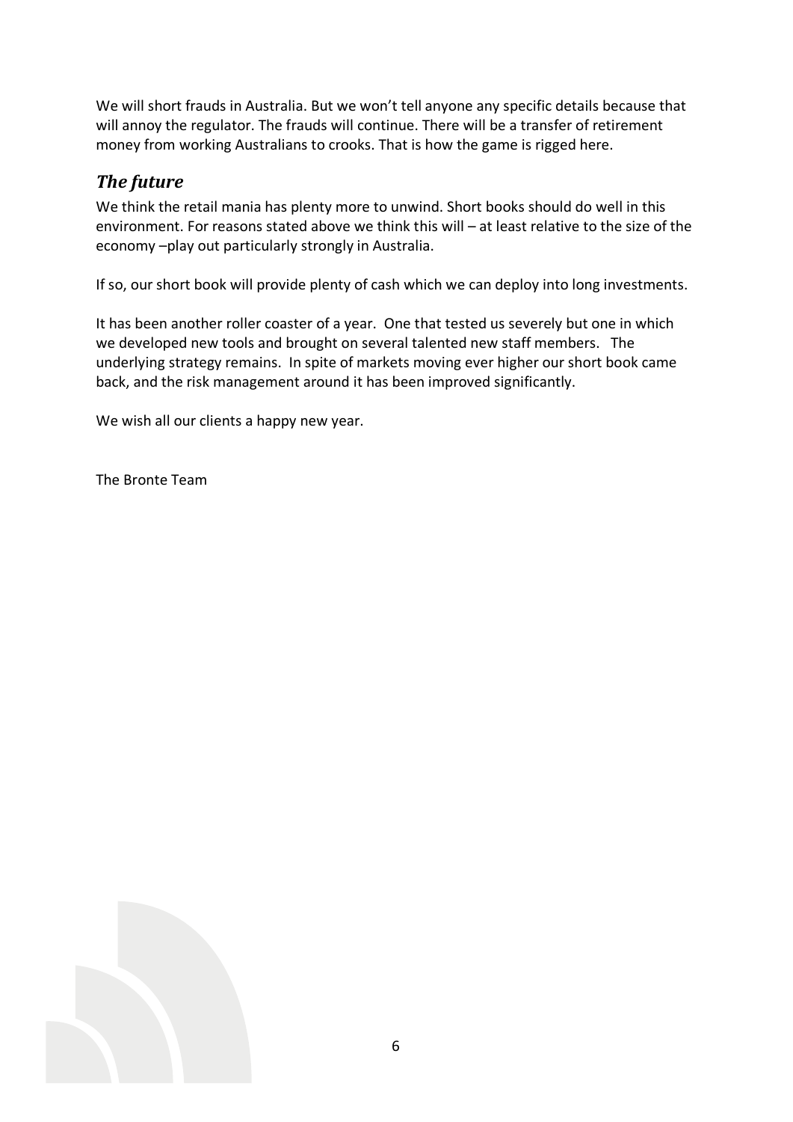We will short frauds in Australia. But we won't tell anyone any specific details because that will annoy the regulator. The frauds will continue. There will be a transfer of retirement money from working Australians to crooks. That is how the game is rigged here.

## *The future*

We think the retail mania has plenty more to unwind. Short books should do well in this environment. For reasons stated above we think this will – at least relative to the size of the economy –play out particularly strongly in Australia.

If so, our short book will provide plenty of cash which we can deploy into long investments.

It has been another roller coaster of a year. One that tested us severely but one in which we developed new tools and brought on several talented new staff members. The underlying strategy remains. In spite of markets moving ever higher our short book came back, and the risk management around it has been improved significantly.

We wish all our clients a happy new year.

The Bronte Team

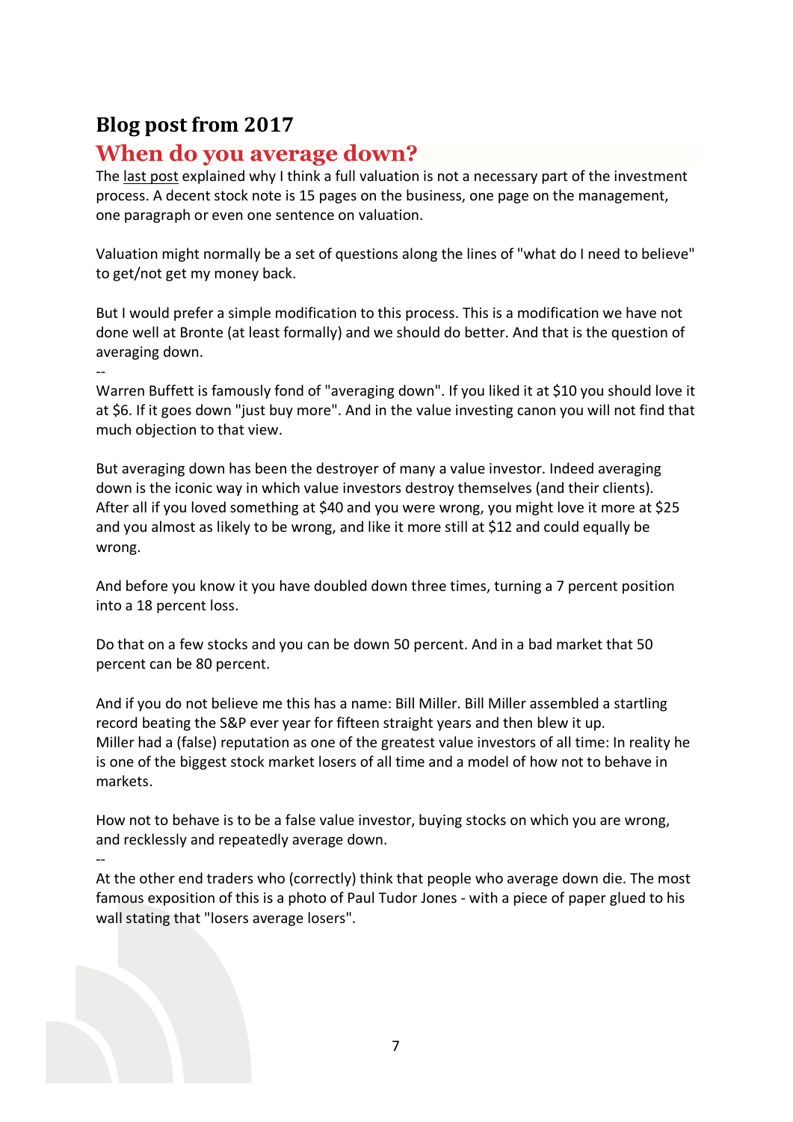# **Blog post from 2017**

--

# **When do you average down?**

The [last post](http://brontecapital.blogspot.com.au/2017/01/valuation-and-investment-analysis.html) explained why I think a full valuation is not a necessary part of the investment process. A decent stock note is 15 pages on the business, one page on the management, one paragraph or even one sentence on valuation.

Valuation might normally be a set of questions along the lines of "what do I need to believe" to get/not get my money back.

But I would prefer a simple modification to this process. This is a modification we have not done well at Bronte (at least formally) and we should do better. And that is the question of averaging down.

Warren Buffett is famously fond of "averaging down". If you liked it at \$10 you should love it at \$6. If it goes down "just buy more". And in the value investing canon you will not find that much objection to that view.

But averaging down has been the destroyer of many a value investor. Indeed averaging down is the iconic way in which value investors destroy themselves (and their clients). After all if you loved something at \$40 and you were wrong, you might love it more at \$25 and you almost as likely to be wrong, and like it more still at \$12 and could equally be wrong.

And before you know it you have doubled down three times, turning a 7 percent position into a 18 percent loss.

Do that on a few stocks and you can be down 50 percent. And in a bad market that 50 percent can be 80 percent.

And if you do not believe me this has a name: Bill Miller. Bill Miller assembled a startling record beating the S&P ever year for fifteen straight years and then blew it up. Miller had a (false) reputation as one of the greatest value investors of all time: In reality he is one of the biggest stock market losers of all time and a model of how not to behave in markets.

How not to behave is to be a false value investor, buying stocks on which you are wrong, and recklessly and repeatedly average down.

-- At the other end traders who (correctly) think that people who average down die. The most famous exposition of this is a photo of Paul Tudor Jones - with a piece of paper glued to his wall stating that "losers average losers".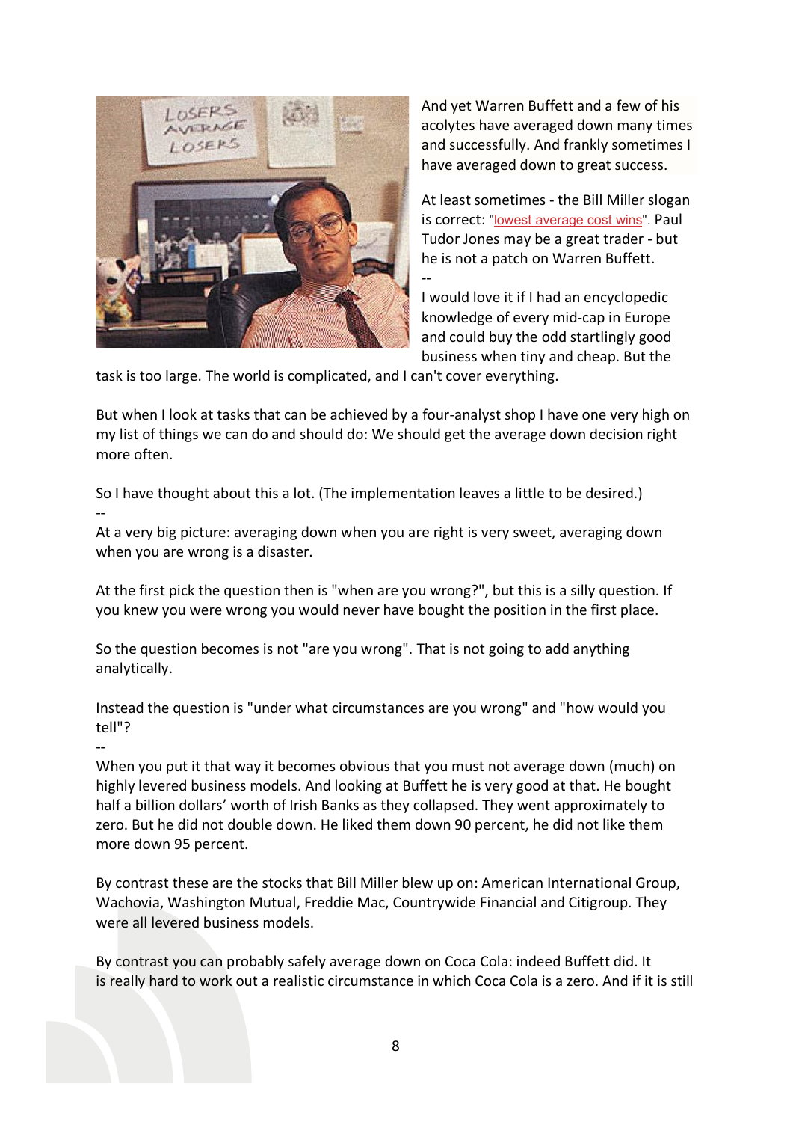

--

--

And yet Warren Buffett and a few of his acolytes have averaged down many times and successfully. And frankly sometimes I have averaged down to great success.

At least sometimes - the Bill Miller slogan is correct: ["lowest average cost wins"](http://gregspeicher.com/?p=54). Paul Tudor Jones may be a great trader - but he is not a patch on Warren Buffett.

I would love it if I had an encyclopedic knowledge of every mid-cap in Europe and could buy the odd startlingly good business when tiny and cheap. But the

task is too large. The world is complicated, and I can't cover everything.

But when I look at tasks that can be achieved by a four-analyst shop I have one very high on my list of things we can do and should do: We should get the average down decision right more often.

--

So I have thought about this a lot. (The implementation leaves a little to be desired.)

At a very big picture: averaging down when you are right is very sweet, averaging down when you are wrong is a disaster.

At the first pick the question then is "when are you wrong?", but this is a silly question. If you knew you were wrong you would never have bought the position in the first place.

So the question becomes is not "are you wrong". That is not going to add anything analytically.

Instead the question is "under what circumstances are you wrong" and "how would you tell"?

When you put it that way it becomes obvious that you must not average down (much) on highly levered business models. And looking at Buffett he is very good at that. He bought half a billion dollars' worth of Irish Banks as they collapsed. They went approximately to zero. But he did not double down. He liked them down 90 percent, he did not like them more down 95 percent.

By contrast these are the stocks that Bill Miller blew up on: American International Group, Wachovia, Washington Mutual, Freddie Mac, Countrywide Financial and Citigroup. They were all levered business models.

By contrast you can probably safely average down on Coca Cola: indeed Buffett did. It is really hard to work out a realistic circumstance in which Coca Cola is a zero. And if it is still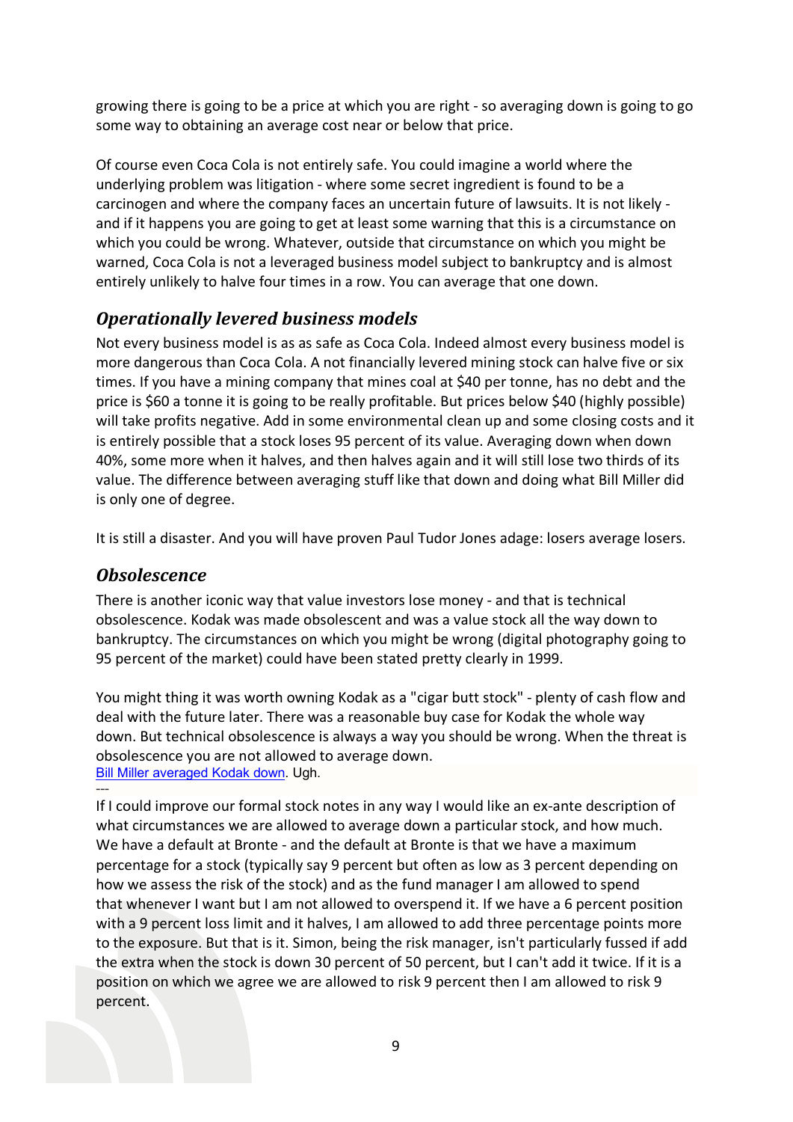growing there is going to be a price at which you are right - so averaging down is going to go some way to obtaining an average cost near or below that price.

Of course even Coca Cola is not entirely safe. You could imagine a world where the underlying problem was litigation - where some secret ingredient is found to be a carcinogen and where the company faces an uncertain future of lawsuits. It is not likely and if it happens you are going to get at least some warning that this is a circumstance on which you could be wrong. Whatever, outside that circumstance on which you might be warned, Coca Cola is not a leveraged business model subject to bankruptcy and is almost entirely unlikely to halve four times in a row. You can average that one down.

## *Operationally levered business models*

Not every business model is as as safe as Coca Cola. Indeed almost every business model is more dangerous than Coca Cola. A not financially levered mining stock can halve five or six times. If you have a mining company that mines coal at \$40 per tonne, has no debt and the price is \$60 a tonne it is going to be really profitable. But prices below \$40 (highly possible) will take profits negative. Add in some environmental clean up and some closing costs and it is entirely possible that a stock loses 95 percent of its value. Averaging down when down 40%, some more when it halves, and then halves again and it will still lose two thirds of its value. The difference between averaging stuff like that down and doing what Bill Miller did is only one of degree.

It is still a disaster. And you will have proven Paul Tudor Jones adage: losers average losers.

### *Obsolescence*

There is another iconic way that value investors lose money - and that is technical obsolescence. Kodak was made obsolescent and was a value stock all the way down to bankruptcy. The circumstances on which you might be wrong (digital photography going to 95 percent of the market) could have been stated pretty clearly in 1999.

You might thing it was worth owning Kodak as a "cigar butt stock" - plenty of cash flow and deal with the future later. There was a reasonable buy case for Kodak the whole way down. But technical obsolescence is always a way you should be wrong. When the threat is obsolescence you are not allowed to average down.

[Bill Miller averaged Kodak down.](http://www.businessinsider.com.au/bill-miller-tired-of-losing-money-on-kodak-2011-11) Ugh. ---

If I could improve our formal stock notes in any way I would like an ex-ante description of what circumstances we are allowed to average down a particular stock, and how much. We have a default at Bronte - and the default at Bronte is that we have a maximum percentage for a stock (typically say 9 percent but often as low as 3 percent depending on how we assess the risk of the stock) and as the fund manager I am allowed to spend that whenever I want but I am not allowed to overspend it. If we have a 6 percent position with a 9 percent loss limit and it halves, I am allowed to add three percentage points more to the exposure. But that is it. Simon, being the risk manager, isn't particularly fussed if add the extra when the stock is down 30 percent of 50 percent, but I can't add it twice. If it is a position on which we agree we are allowed to risk 9 percent then I am allowed to risk 9 percent.